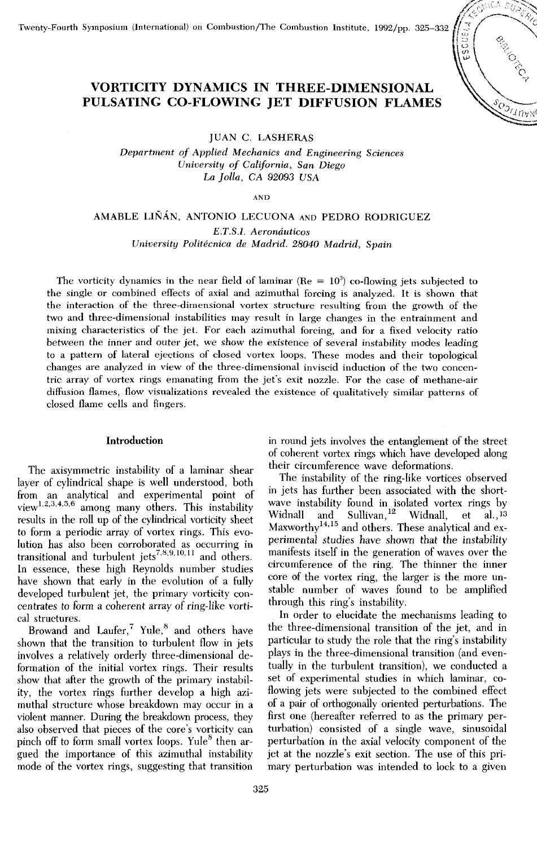

# VORTICITY DYNAMICS IN THREE-DIMENSIONAL PULSATING CO-FLOWING JET DIFFUSION FLAMES

JUAN C. LASHERAS

*Department of Applied Mechantes and Engineering Sciences University of California, San Diego La Jolla, CA 92093 USA* 

**AND** 

AMABLE LIÑÁN, ANTONIO LECUONA AND PEDRO RODRIGUEZ *E.T.S.I. Aeronáuticos University Politécnica de Madrid. 28040 Madrid, Spain* 

The vorticity dynamics in the near field of laminar ( $Re = 10<sup>3</sup>$ ) co-flowing jets subjected to the single or combined effeets of axial and azimuthal forcing is analyzed. It is shown that the interaction of the three-dimensional vortex structure resulting from the growth of the two and three-dimensional instabilities may result in large changes in the entrainment and mixing characteristics of the jet. For each azimuthal forcing, and for a fixed velocity ratio between the inner and outer jet, we show the existence of several instability modes leading to a pattern of lateral ejections of closed vortex loops. These modes and their topological changes are analyzed in view of the three-dimensional inviscid induction of the two concentric array of vortex rings emanating from the jet's exit nozzle. For the case of methane-air diffusion flames, fiow visualizations revealed the existence of qualitatively similar patterns of closed fíame cells and fingers.

### **Introduction**

The axisymmetric instability of a laminar shear layer of cylindrical shape is well understood, both from an analytical and experimental point of view<sup>1,2,3,4,5,6</sup> among many others. This instability results in the roll up of the cylindrical vorticity sheet to form a periodic array of vortex rings. This evo-Iution has also been corroborated as occurring in transitional and turbulent jets<sup>7,8,9,10,11</sup> and others. In essence, these high Reynolds number studies have shown that early in the evolution of a fully developed turbulent jet, the primary vorticity concentrates to form a coherent array of ring-like vortical structures.

Browand and  $Laur, 7$   $Yule, 8$  and others have shown that the transition to turbulent flow in jets involves a relatively orderly three-dimensional deformation of the initial vortex rings. Their results show that after the growth of the primary instability, the vortex rings further develop a high azimuthal structure whose breakdown may oceur in a violent manner. During the breakdown process, they also observed that pieces of the core's vorticity can pinch off to form small vortex loops. Yule<sup>8</sup> then argued the importance of this azimuthal instability mode of the vortex rings, suggesting that transition in round jets involves the entanglement of the street of coherent vortex rings which have developed along their circumference wave deformations.

The instability of the ring-like vortices observed in jets has further been associated with the shortwave instability found in isolated vortex rings by Widnall and Sullivan,<sup>12</sup> Widnall, et al.,<sup>13</sup> Maxworthy<sup>14,15</sup> and others. These analytical and experimental studies have shown that the instability manifests itself in the generation of waves over the circumference of the ring. The thinner the inner core of the vortex ring, the larger is the more unstable number of waves found to be amplified through this ring's instability.

In order to elucidate the mechanisms leading to the three-dimensional transition of the jet, and in particular to study the role that the ring's instability plays in the three-dimensional transition (and eventually in the turbulent transition), we conducted a set of experimental studies in which laminar, coflowing jets were subjected to the combined effect of a pair of orthogonally oriented perturbations. The first one (hereafter referred to as the primary perturbation) consisted of a single wave, sinusoidal perturbation in the axial velocity component of the jet at the nozzle's exit section. The use of this primary perturbation was intended to lock to a given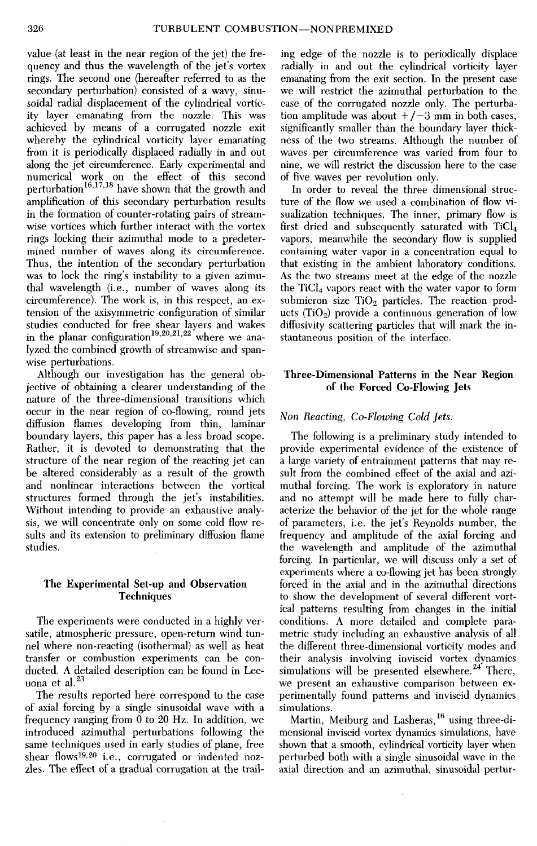value (at least in the near region of the jet) the frequency and thus the wavelength of the jet's vortex rings. The second one (hereafter referred to as the secondary perturbation) consisted of a wavy, sinusoidal radial displacement of the cylindrical vorticity layer emanating from the nozzle. This was achieved by means of a corrugated nozzle exit whereby the cylindrical vorticity layer emanating from it is periodically displaced radially in and out along the jet circumference. Early experimental and numerical work on the effect of this second perturbation<sup>16,17,18</sup> have shown that the growth and amplification of this secondary perturbation results in the formation of counter-rotating pairs of streamwise vortices which further interact with the vortex rings locking their azimuthal mode to a predetermined number of waves along its circumference. Thus, the intention of the secondary perturbation was to lock the ring's instability to a given azimuthal wavelength (i.e., number of waves along its circumference). The work is, in this respect, an extensión of the axisymmetric configuration of similar studies conducted for free shear layers and wakes in the planar configuration<sup>19,20,21,22</sup> where we analyzed the combined growth of streamwise and spanwise perturbations.

Although our investigation has the general objective of obtaining a clearer understanding of the nature of the three-dimensional transitions which occur in the near región of co-flowing, round jets diffusion flames developing from thin, laminar boundary layers, this paper has a less broad scope. Rather, it is devoted to demonstrating that the structure of the near region of the reacting jet can be altered considerably as a result of the growth and nonlinear interactions between the vortical structures formed through the jet's instabilities. Without intending to provide an exhaustive analysis, we will concentrate only on some cold flow results and its extension to preliminary diffusion flame studies.

### **The Experimental Set-up and Observation Techniques**

The experiments were conducted in a highly versatile, atmospheric pressure, open-retum wind tunnel where non-reacting (isothermal) as well as heat transfer or combustión experiments can be conducted. A detailed description can be found in Lecuona et al.

The results reported here correspond to the case of axial forcing by a single sinusoidal wave with a frequency ranging from 0 to 20 Hz. In addition, we introduced azimuthal perturbations following the same techniques used in early studies of plane, free shear flows<sup>19,20</sup> i.e., corrugated or indented nozzles. The effect of a gradual corrugation at the trail-

ing edge of the nozzle is to periodically displace radially in and out the cylindrical vorticity layer emanating from the exit section. In the present case we will restrict the azimuthal perturbation to the case of the corrugated nozzle only. The perturbation amplitude was about  $+/-3$  mm in both cases, significantly smaller than the boundary layer thickness of the two streams. Although the number of waves per circumference was varied from four to nine, we will restrict the discussion here to the case of five waves per revolution only.

In order to reveal the three dimensional structure of the flow we used a combination of flow visualization techniques. The inner, primary flow is first dried and subsequently saturated with TiCl<sup>4</sup> vapors, meanwhile the secondary flow is supplied containing water vapor in a concentration equal to that existing in the ambient laboratory conditions. As the two streams meet at the edge of the nozzle the TiCl<sub>4</sub> vapors react with the water vapor to form submicron size  $TiO<sub>2</sub>$  particles. The reaction products (TiO<sub>2</sub>) provide a continuous generation of low diffusivity scattering particles that will mark the instantaneous position of the interface.

## **Three-Dimensional Patterns in the Near Región of the Forced Co-Flowing Jets**

### *Non Reacting, Co-Flowing Cold Jets:*

The following is a preliminary study intended to provide experimental evidence of the existence of a large variety of entrainment patterns that may result from the combined effect of the axial and azimuthal forcing. The work is exploratory in nature and no attempt will be made here to fully characterize the behavior of the jet for the whole range of parameters, i.e. the jet's Reynolds number, the frequency and amplitude of the axial forcing and the wavelength and amplitude of the azimuthal forcing. In particular, we will discuss only a set of experiments where a co-flowing jet has been strongly forced in the axial and in the azimuthal directions to show the development of several different vortical patterns resulting from changes in the initial conditions. A more detailed and complete parametric study including an exhaustive analysis of all the different three-dimensional vorticity modes and their analysis involving inviscid vortex dynamics simulations will be presented elsewhere.<sup>24</sup> There, we present an exhaustive comparison between experimentally found patterns and inviscid dynamics simulations.

Martin, Meiburg and Lasheras,<sup>16</sup> using three-dimensional inviscid vortex dynamics simulations, have shown that a smooth, cylindrical vorticity layer when perturbed both with a single sinusoidal wave in the axial direction and an azimuthal, sinusoidal pertur-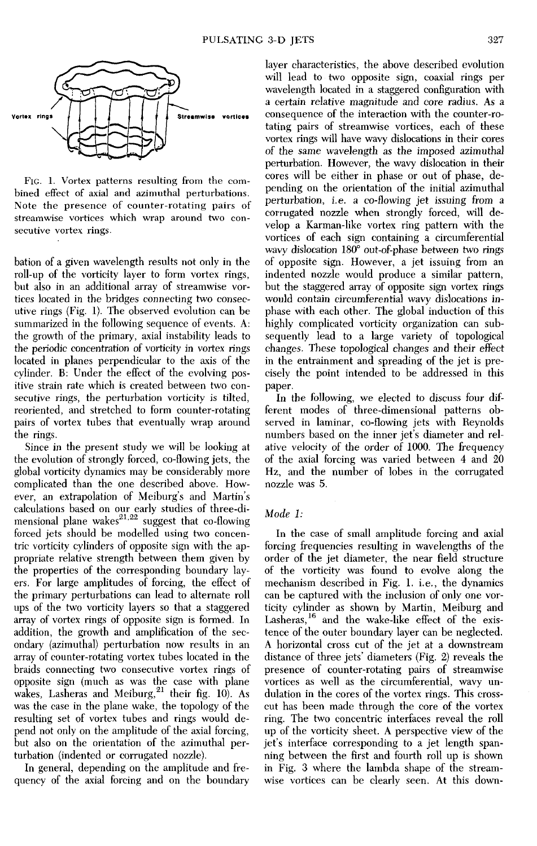

FlG. 1. Vortex patterns resulting from the combined effect of axial and azimuthal perturbations. Note the presence of counter-rotating pairs of streamwise vortices which wrap around two consecutive vortex rings.

bation of a given wavelength results not only in the roll-up of the vorticity layer to form vortex rings, but also in an additional array of streamwise vortices located in the bridges connecting two consecutive rings (Fig. 1). The observed evolution can be summarized in the following sequence of events. A: the growth of the primary, axial instability leads to the periodic concentration of vorticity in vortex rings located in planes perpendicular to the axis of the cylinder. B: Under the effect of the evolving positive strain rate which is created between two consecutive rings, the perturbation vorticity is tilted, reoriented, and stretched to form counter-rotating pairs of vortex tubes fhat eventually wrap around the rings.

Since in the present study we wil] be looking at the evolution of strongly forced, co-flowing jets, the global vorticity dynamics may be considerably more complicated than the one described above. However, an extrapolation of Meiburg's and Martin's calculations based on our early studies of three-dimensional plane wakes $^{21,22}$  suggest that co-flowing forced jets should be modelled using two concentric vorticity cylinders of opposite sign with the appropriate relative strength between them given by the properties of the corresponding boundary layers. For large amplitudes of forcing, the effect of the primary perturbations can lead to alternate roll ups of the two vorticity layers so that a staggered array of vortex rings of opposite sign is formed. In addition, the growth and amplification of the secondary (azimuthal) perturbation now results in an array of counter-rotating vortex tubes located in the braids connecting two consecutive vortex rings of opposite sign (much as was the case with plañe wakes, Lasheras and Meiburg,  $21$  their fig. 10). As was the case in the plañe wake, the topology of the resulting set of vortex tubes and rings would depend not only on the amplitude of the axial forcing, but also on the orientation of the azimuthal perturbation (indented or corrugated nozzle).

In general, depending on the amplitude and frequency of the axial forcing and on the boundary layer characteristics, the above described evolution will lead to two opposite sign, coaxial rings per wavelength located in a staggered configuration with a certain relative magnitude and core radius. As a consequence of the interaction with the counter-rotating pairs of streamwise vortices, each of these vortex rings will have wavy dislocations in their cores of the same wavelength as the imposed azimuthal perturbation. However, the wavy dislocation in their cores will be either in phase or out of phase, depending on the orientation of the initial azimuthal perturbation, i.e. a co-flowing jet issuing from a corrugated nozzle when strongly forced, will develop a Karman-like vortex ring pattern with the vortices of each sign containing a circumferential wavy dislocation 180° out-of-phase between two rings of opposite sign. However, a jet issuing from an indented nozzle would produce a similar pattern, but the staggered array of opposite sign vortex rings would contain circumferential wavy dislocations inphase with each other. The global induction of this highly complicated vorticity organization can subsequently lead to a large variety of topological changes. These topological changes and their effect in the entrainment and spreading of the jet is precisely the point intended to be addressed in this paper.

In the following, we elected to discuss four different modes of three-dimensional patterns observed in laminar, co-flowing jets with Reynolds numbers based on the inner jet's diameter and relative velocity of the order of 1000. The frequency of the axial forcing was varied between 4 and 20 Hz, and the number of lobes in the corrugated nozzle was 5.

## *Mode 1:*

In the case of small amplitude forcing and axial forcing frequencies resulting in wavelengths of the order of the jet diameter, the near field structure of the vorticity was found to evolve along the mechanism described in Fig. 1. i.e., the dynamics can be captured with the inclusión of only one vorticity cylinder as shown by Martin, Meiburg and Lasheras,  $^{16}$  and the wake-like effect of the existence of the outer boundary layer can be neglected. A horizontal cross cut of the jet at a downstream distance of three jets' diameters (Fig. 2) reveals the presence of counter-rotating pairs of streamwise vortices as well as the circumferential, wavy undulation in the cores of the vortex rings. This crosscut has been made through the core of the vortex ring. The two concentric interfaces reveal the roll up of the vorticity sheet. A perspective view of the jet's interface corresponding to a jet length spanning between the first and fourth roll up is shown in Fig. 3 where the lambda shape of the streamwise vortices can be clearly seen. At this down-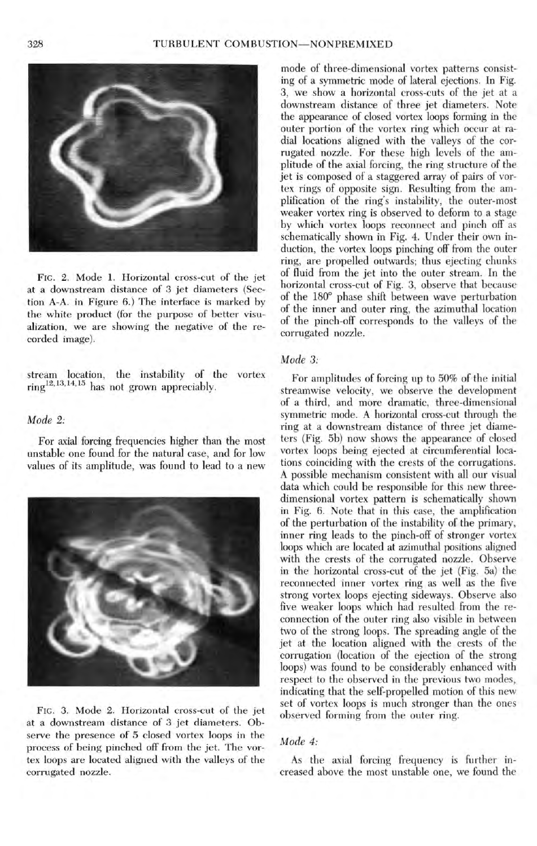

FlG. 2. Mode 1. Horizontal cross-cut of the jet at a downstream distance of 3 jet diameters (Section A-A. in Figure 6.) The interface is marked by the white product (for the purpose of better visualization, we are showing the negative of the recorded image).

stream location, the instability of the vortex ring<sup>12,13,14,15</sup> has not grown appreciably.

#### *Mode 2:*

For axial forcing frequencies higher than the most unstable one found for the natural case, and for low values of its amplitude, was found to lead to a new



FlG. 3. Mode 2. Horizontal cross-cut of the jet at a downstream distance of 3 jet diameters. Observe the presence of 5 closed vortex loops in the process of being pinched off from the jet. The vortex loops are located aligned with the valleys of the corrugated nozzle.

mode of three-dimensional vortex patterns consisting of a symmetric mode of lateral ejections. In Fig. 3, we show a horizontal cross-cuts of the jet at a downstream distance of three jet diameters. Note the appearance of closed vortex loops forming in the outer portion of the vortex ring which occur at radial locations aligned with the valleys of the corrugated nozzle. For these high levels of the amplitude of the axial forcing, the ring structure of the jet is composed of a staggered array of pairs of vortex rings of opposite sign. Resulting from the amplification of the ring's instability, the outer-most weaker vortex ring is observed to deform to a stage by which vortex loops reconnect and pinch off as schematically shown in Fig. 4. Under their own induction, the vortex loops pinching off from the outer ring, are propelled outwards; thus ejecting chunks of fluid from the jet into the outer stream. In the horizontal cross-cut of Fig. 3, observe that because of the 180° phase shift between wave perturbation of the inner and outer ring, the azimuthal location of the pinch-off corresponds to the valleys of the corrugated nozzle.

## *Mode 3:*

For amplitudes of forcing up to 50% of the initial streamwise velocity, we observe the development of a third, and more dramatic, three-dimensional symmetric mode. A horizontal cross-cut through the ring at a downstream distance of three jet diameters (Fig. 5b) now shows the appearance of closed vortex loops being ejected at circumferential locations coinciding with the crests of the corrugations. A possible mechanism consistent with all our visual data which could be responsible for this new threedimensional vortex pattern is schematically shown in Fig. 6. Note that in this case, the amplification of the perturbation of the instability of the primary, inner ring leads to the pinch-off of stronger vortex loops which are located at azimuthal positions aligned with the crests of the corrugated nozzle. Observe in the horizontal cross-cut of the jet (Fig. 5a) the reconnected inner vortex ring as well as the five strong vortex loops ejecting sideways. Observe also five weaker loops which had resulted from the reconnection of the outer ring also visible in between two of the strong loops. The spreading angle of the jet at the location aligned with the crests of the corrugation (location of the ejection of the strong loops) was found to be considerably enhanced with respect to the observed in the previous two modes, indicating that the self-propelled motion of this new set of vortex loops is much stronger than the ones observed forming from the outer ring.

#### *Mode 4:*

As the axial forcing frequency is further increased above the most unstable one, we found the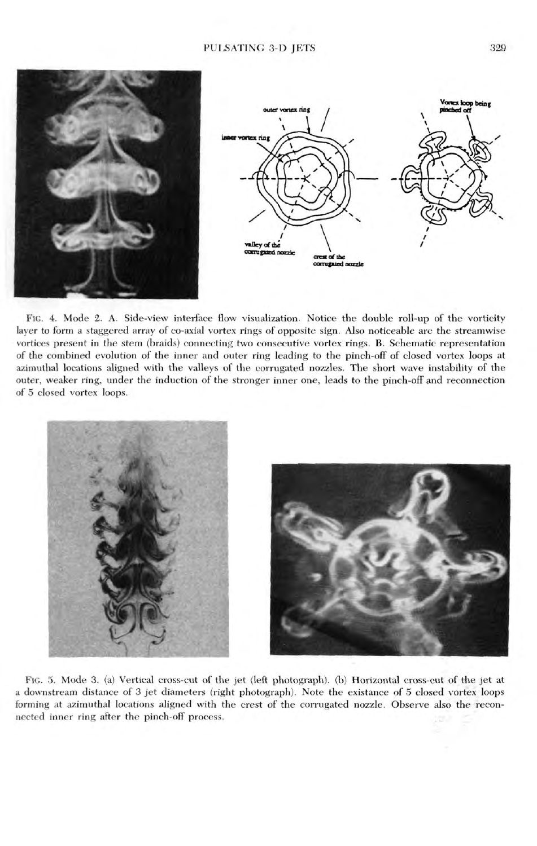

Fie. 4. Mode 2. A. Side-view interface flow visualization. Notice the double roll-up of the vorticity layer to form a staggered array of co-axial vortex rings of opposite sign. Also noticeable are the streamwise vortices present in the stem (braids) connecting two consecutive vortex rings. B. Schematic representation of the combined evolution of the inner and outer ring leading to the pinch-off of closed vortex loops at azimuthal locations aligned with the valleys ot the eorrugated nozzles. The short wave instability of the outer, weaker ring, under the induction of the stronger inner one, leads to the pinch-off and reconnection of 5 closed vortex loops.



FlG. 5. Mode 3. (a) Vertical cross-cut of the jet (left photograph). (b) Horizontal cross-cut of the jet at a downstream distance of 3 jet diameters (right photograph). Note the existance of 5 closed vortex loops forming at azimuthal locations aligned with the crest of the eorrugated nozzle. Observe also the reeonnected inner ring after the pinch-off process.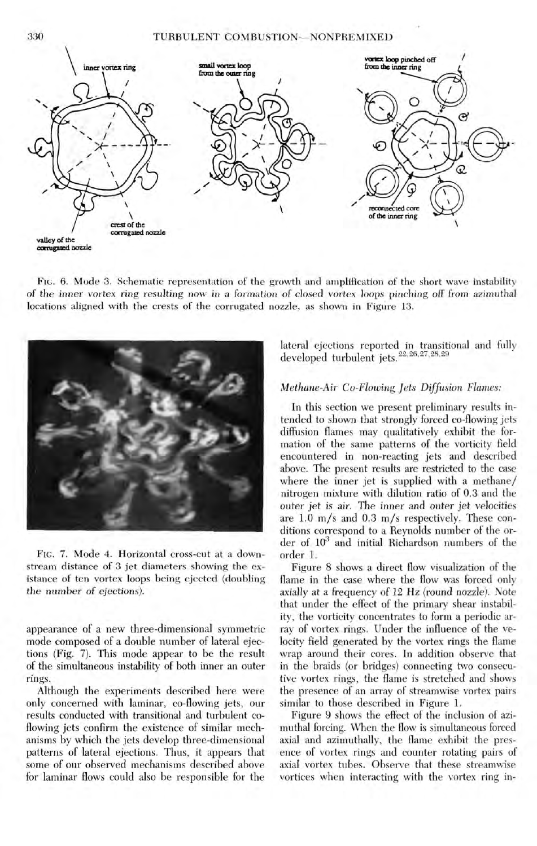

FIG. 6. Mode 3. Schematic representation of the growth and amplification of the short wave instability of the inner vortex ring resulting now in a formation of elosed vortex loops pinching off from azimuthal locations aligned with the crests of the corrugated nozzle, as shown in Figure 13.



FIG. 7. Mode 4. Horizontal eross-cut at a downstream distance of 3 jet diameters showing the existance of ten vortex loops being ejected (doubling the number of ejections).

appearance of a new three-dimensional symmetric mode composed of a double number of lateral ejections (Fig. 7). This mode appear to be the result of the simultaneous instability of both inner an outer rings.

Although the experiments described here were only concerned with laminar, eo-flowing jets, our results conducted with transitional and turbulent coflowing jets confirm the existence of similar mechanisms by which the jets develop three-dimensional patterns of lateral ejections. Thus, it appears that some of our observed mechanisms described above for laminar flows could also be responsible for the

lateral ejections reported in transitional and fullv developed turbulent jets.  $22, 26, 27, 28, 29$ 

## *Methane-Air Co-Flowing Jets Diffusion Flames:*

In this section we present preliminary results intended to shown that strongly forced co-flowing jets diffusion flames may qualitatively exhibit the formation of the same patterns of the vorticity field encountered in non-reacting jets and described above. The present results are restricted to the case where the inner jet is supplied with a methane/ nitrogen mixture with dilution ratio of 0.3 and the outer jet is air. The inner and outer jet velocities are 1.0 m/s and 0.3 m/s respectively. These conditions correspond to a Reynolds number of the order of  $10^3$  and initial Richardson numbers of the order 1.

Figure 8 shows a direct flow visualization of the fíame in the case where the flow was forced only axially at a frequency of 12 Hz (round nozzle). Note that under the effect of the primary shear instability, the vorticity concentrates to form a periodic array of vortex rings. Under the influence of the velocity field generated by the vortex rings the fíame wrap around their cores. In addition observe that in the braids (or bridges) connecting two consecutive vortex rings, the fíame is stretched and shows the presence of an array of streamwise vortex pairs similar to those described in Figure 1.

Figure 9 shows the effect of the inclusión of azimuthal forcing. When the flow is simultaneous forced axial and azimuthally, the fíame exhibit the presence of vortex rings and counter rotating pairs of axial vortex tubes. Observe that these streamwise vortices when interacting with the vortex ring in-

330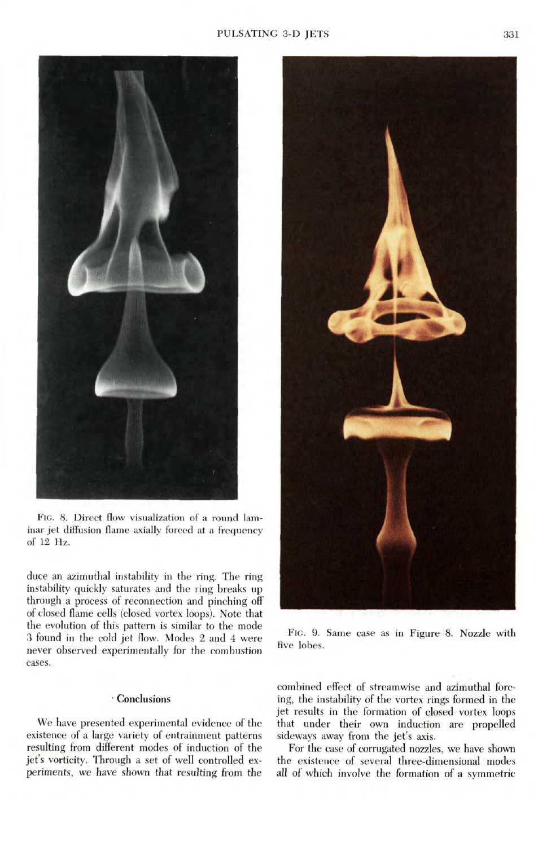## PULSATING 3-D JETS 331



FlG. 8. Direct flow visualization of a round laminar jet diffusion fíame axially forced at a írequency of 12 Hz.

duce an azimuthal instability in the ring. The ring instability quickly saturates and the ring breaks up through a process of reconnection and pinehíng off of closed fíame cells (closed vortex loops). Note that the evolution of this pattern is similar to the mode 3 found in the cold jet flow. Modes 2 and 4 were never observed experimentally for the combustión cases.

## • **Conclusions**

We have presented experimental evidence of the existence of a large variety of entrainment patterns resulting from different modes of induction of the jet's vorticity. Through a set of well controlled experiments, we have shown that resulting from the



FIG. 9. Same case as in Figure 8. Nozzle with five lobes.

combined effect of streamwise and azimuthal forcing, the instability of the vortex rings formed in the jet results in the formation of closed vortex loops that under their own induction are propelled sideways away from the jet's axis.

For the case of corrugated nozzles, we have shown the existence of several three-dimensional modes all of which involve the formation of a symmetric